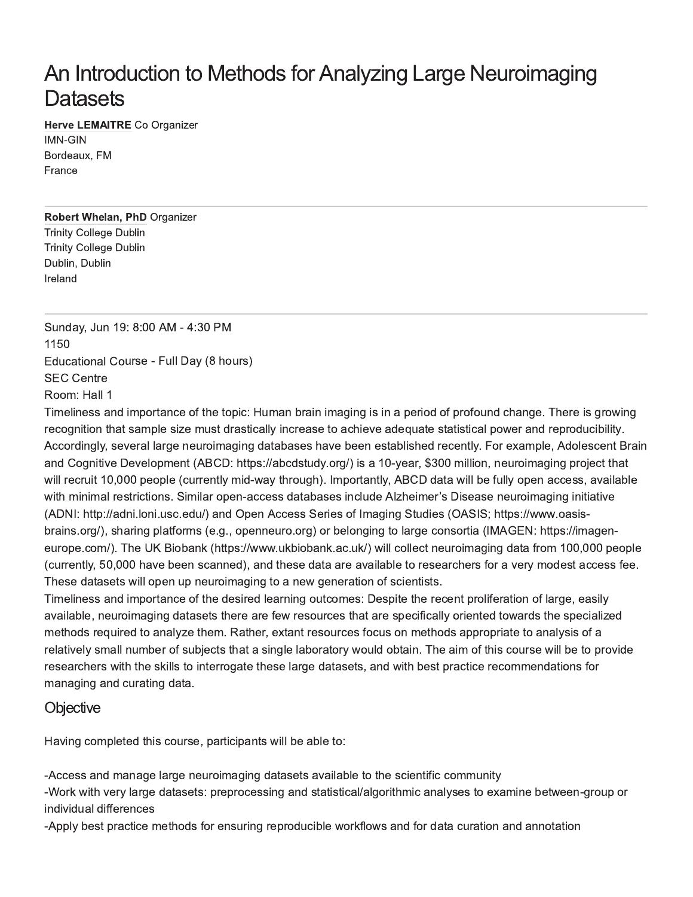# An Introduction to Methods for Analyzing Large Neuroimaging Datasets

Herve LEMAITRE Co Organizer

**IMN-GIN** Bordeaux, FM **France** 

#### **Robert Whelan, PhD Organizer**

**Trinity College Dublin Trinity College Dublin** Dublin, Dublin Ireland

Sunday, Jun 19: 8:00 AM - 4:30 PM 1150 Educational Course - Full Day (8 hours) **SEC Centre** Room: Hall 1

Timeliness and importance of the topic: Human brain imaging is in a period of profound change. There is growing recognition that sample size must drastically increase to achieve adequate statistical power and reproducibility. Accordingly, several large neuroimaging databases have been established recently. For example, Adolescent Brain and Cognitive Development (ABCD: https://abcdstudy.org/) is a 10-year, \$300 million, neuroimaging project that will recruit 10,000 people (currently mid-way through). Importantly, ABCD data will be fully open access, available with minimal restrictions. Similar open-access databases include Alzheimer's Disease neuroimaging initiative (ADNI: http://adni.loni.usc.edu/) and Open Access Series of Imaging Studies (OASIS; https://www.oasisbrains.org/), sharing platforms (e.g., openneuro.org) or belonging to large consortia (IMAGEN: https://imageneurope.com/). The UK Biobank (https://www.ukbiobank.ac.uk/) will collect neuroimaging data from 100,000 people (currently, 50,000 have been scanned), and these data are available to researchers for a very modest access fee. These datasets will open up neuroimaging to a new generation of scientists.

Timeliness and importance of the desired learning outcomes: Despite the recent proliferation of large, easily available, neuroimaging datasets there are few resources that are specifically oriented towards the specialized methods required to analyze them. Rather, extant resources focus on methods appropriate to analysis of a relatively small number of subjects that a single laboratory would obtain. The aim of this course will be to provide researchers with the skills to interrogate these large datasets, and with best practice recommendations for managing and curating data.

### Objective

Having completed this course, participants will be able to:

-Access and manage large neuroimaging datasets available to the scientific community

-Work with very large datasets: preprocessing and statistical/algorithmic analyses to examine between-group or individual differences

-Apply best practice methods for ensuring reproducible workflows and for data curation and annotation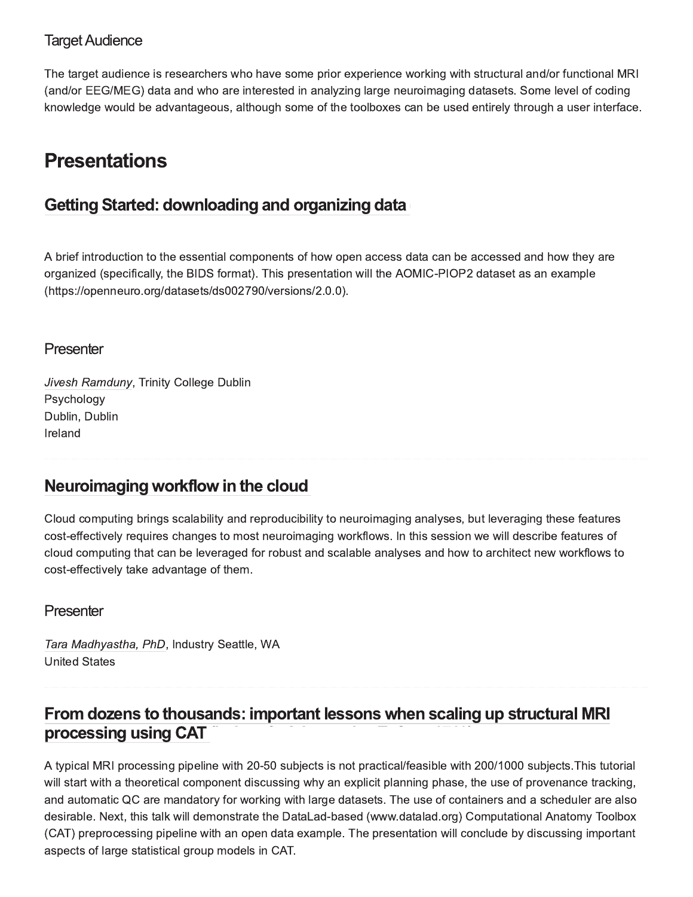### **Target Audience**

The target audience is researchers who have some prior experience working with structural and/or functional MRI (and/or EEG/MEG) data and who are interested in analyzing large neuroimaging datasets. Some level of coding knowledge would be advantageous, although some of the toolboxes can be used entirely through a user interface.

# **Presentations**

## Getting Started: downloading and organizing data

A brief introduction to the essential components of how open access data can be accessed and how they are organized (specifically, the BIDS format). This presentation will the AOMIC-PIOP2 dataset as an example (https://openneuro.org/datasets/ds002790/versions/2.0.0).

### Presenter

Jivesh Ramduny, Trinity College Dublin Psychology Dublin, Dublin Ireland

### Neuroimaging workflow in the cloud

Cloud computing brings scalability and reproducibility to neuroimaging analyses, but leveraging these features cost-effectively requires changes to most neuroimaging workflows. In this session we will describe features of cloud computing that can be leveraged for robust and scalable analyses and how to architect new workflows to cost-effectively take advantage of them.

### Presenter

Tara Madhyastha, PhD, Industry Seattle, WA **United States** 

## From dozens to thousands: important lessons when scaling up structural MRI processing using CAT

A typical MRI processing pipeline with 20-50 subjects is not practical/feasible with 200/1000 subjects. This tutorial will start with a theoretical component discussing why an explicit planning phase, the use of provenance tracking, and automatic QC are mandatory for working with large datasets. The use of containers and a scheduler are also desirable. Next, this talk will demonstrate the DataLad-based (www.datalad.org) Computational Anatomy Toolbox (CAT) preprocessing pipeline with an open data example. The presentation will conclude by discussing important aspects of large statistical group models in CAT.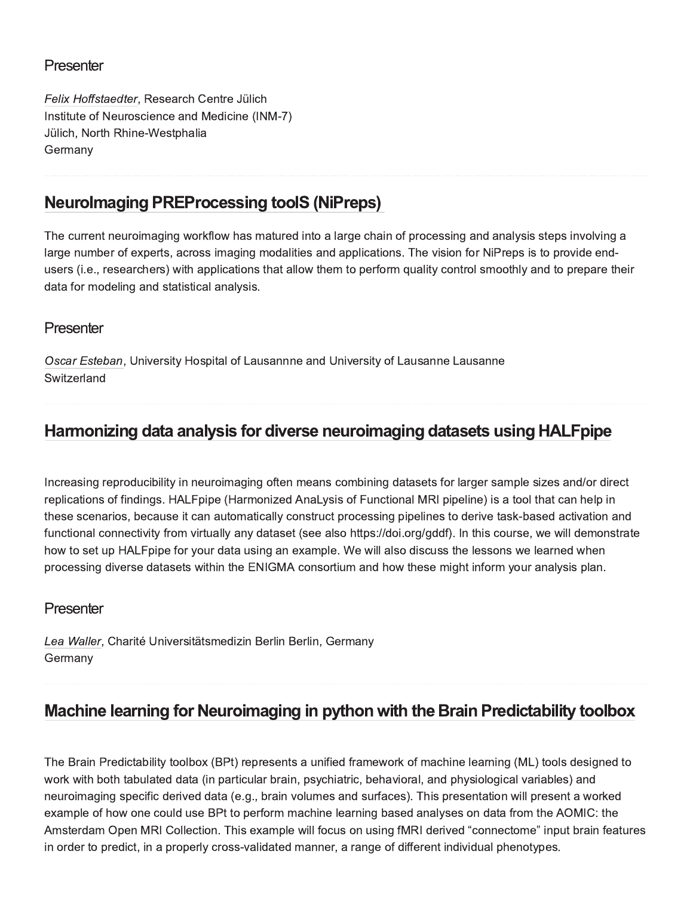### Presenter

Felix Hoffstaedter, Research Centre Jülich Institute of Neuroscience and Medicine (INM-7) Jülich, North Rhine-Westphalia Germany

### **Neurolmaging PREProcessing toolS (NiPreps)**

The current neuroimaging workflow has matured into a large chain of processing and analysis steps involving a large number of experts, across imaging modalities and applications. The vision for NiPreps is to provide endusers (i.e., researchers) with applications that allow them to perform quality control smoothly and to prepare their data for modeling and statistical analysis.

### Presenter

Oscar Esteban, University Hospital of Lausannne and University of Lausanne Lausanne Switzerland

### Harmonizing data analysis for diverse neuroimaging datasets using HALFpipe

Increasing reproducibility in neuroimaging often means combining datasets for larger sample sizes and/or direct replications of findings. HALFpipe (Harmonized AnaLysis of Functional MRI pipeline) is a tool that can help in these scenarios, because it can automatically construct processing pipelines to derive task-based activation and functional connectivity from virtually any dataset (see also https://doi.org/gddf). In this course, we will demonstrate how to set up HALFpipe for your data using an example. We will also discuss the lessons we learned when processing diverse datasets within the ENIGMA consortium and how these might inform your analysis plan.

### Presenter

Lea Waller, Charité Universitätsmedizin Berlin Berlin, Germany Germany

### Machine learning for Neuroimaging in python with the Brain Predictability toolbox

The Brain Predictability toolbox (BPt) represents a unified framework of machine learning (ML) tools designed to work with both tabulated data (in particular brain, psychiatric, behavioral, and physiological variables) and neuroimaging specific derived data (e.g., brain volumes and surfaces). This presentation will present a worked example of how one could use BPt to perform machine learning based analyses on data from the AOMIC: the Amsterdam Open MRI Collection. This example will focus on using fMRI derived "connectome" input brain features in order to predict, in a properly cross-validated manner, a range of different individual phenotypes.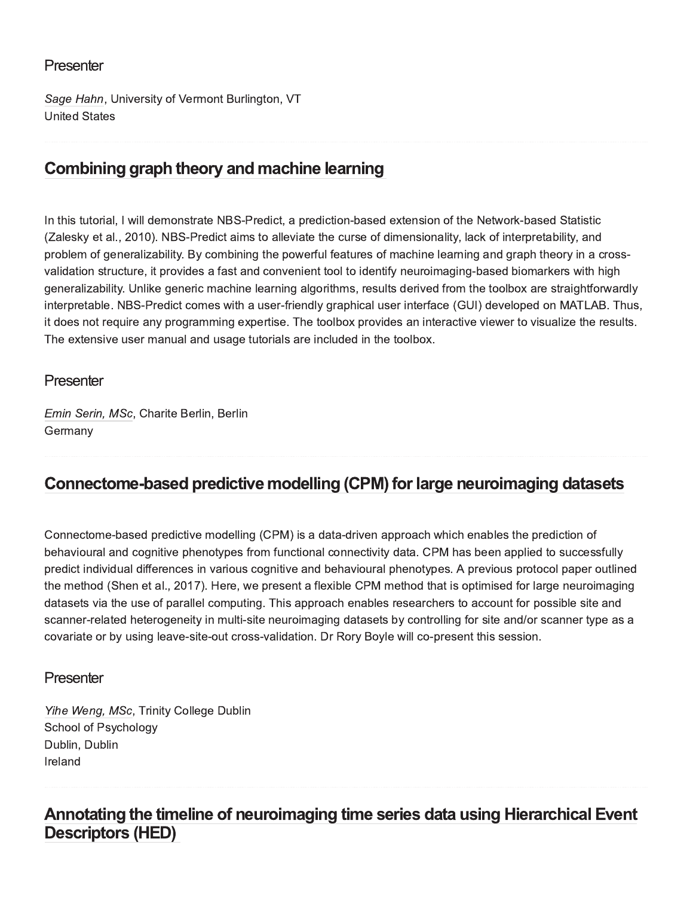### Presenter

Sage Hahn, University of Vermont Burlington, VT **United States** 

# Combining graph theory and machine learning

In this tutorial, I will demonstrate NBS-Predict, a prediction-based extension of the Network-based Statistic (Zalesky et al., 2010). NBS-Predict aims to alleviate the curse of dimensionality, lack of interpretability, and problem of generalizability. By combining the powerful features of machine learning and graph theory in a crossvalidation structure, it provides a fast and convenient tool to identify neuroimaging-based biomarkers with high generalizability. Unlike generic machine learning algorithms, results derived from the toolbox are straightforwardly interpretable. NBS-Predict comes with a user-friendly graphical user interface (GUI) developed on MATLAB. Thus, it does not require any programming expertise. The toolbox provides an interactive viewer to visualize the results. The extensive user manual and usage tutorials are included in the toolbox.

#### Presenter

Emin Serin, MSc, Charite Berlin, Berlin Germany

### Connectome-based predictive modelling (CPM) for large neuroimaging datasets

Connectome-based predictive modelling (CPM) is a data-driven approach which enables the prediction of behavioural and cognitive phenotypes from functional connectivity data. CPM has been applied to successfully predict individual differences in various cognitive and behavioural phenotypes. A previous protocol paper outlined the method (Shen et al., 2017). Here, we present a flexible CPM method that is optimised for large neuroimaging datasets via the use of parallel computing. This approach enables researchers to account for possible site and scanner-related heterogeneity in multi-site neuroimaging datasets by controlling for site and/or scanner type as a covariate or by using leave-site-out cross-validation. Dr Rory Boyle will co-present this session.

### Presenter

Yihe Weng, MSc, Trinity College Dublin School of Psychology Dublin, Dublin Ireland

### Annotating the timeline of neuroimaging time series data using Hierarchical Event **Descriptors (HED)**